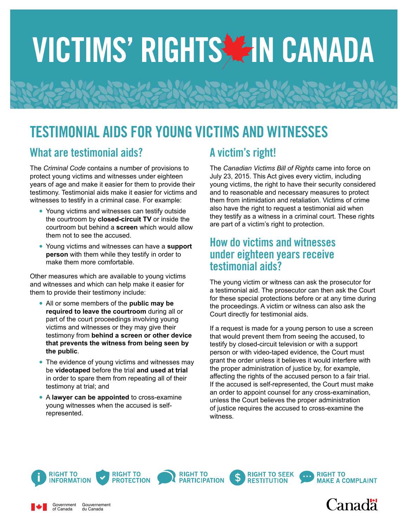# VICTIMS' RIGHTS AIN CANADA

## TESTIMONIAL AIDS FOR YOUNG VICTIMS AND WITNESSES

### What are testimonial aids?

The *Criminal Code* contains a number of provisions to protect young victims and witnesses under eighteen years of age and make it easier for them to provide their testimony. Testimonial aids make it easier for victims and witnesses to testify in a criminal case. For example:

- **•** Young victims and witnesses can testify outside the courtroom by **closed-circuit TV** or inside the courtroom but behind a **screen** which would allow them not to see the accused.
- **•** Young victims and witnesses can have a **support person** with them while they testify in order to make them more comfortable.

Other measures which are available to young victims and witnesses and which can help make it easier for them to provide their testimony include:

- **•** All or some members of the **public may be required to leave the courtroom** during all or part of the court proceedings involving young victims and witnesses or they may give their testimony from **behind a screen or other device that prevents the witness from being seen by the public**.
- **•** The evidence of young victims and witnesses may be **videotaped** before the trial **and used at trial** in order to spare them from repeating all of their testimony at trial; and
- **•** A **lawyer can be appointed** to cross-examine young witnesses when the accused is selfrepresented.

## A victim's right!

The *Canadian Victims Bill of Rights* came into force on July 23, 2015. This Act gives every victim, including young victims, the right to have their security considered and to reasonable and necessary measures to protect them from intimidation and retaliation. Victims of crime also have the right to request a testimonial aid when they testify as a witness in a criminal court. These rights are part of a victim's right to protection.

#### How do victims and witnesses under eighteen years receive testimonial aids?

The young victim or witness can ask the prosecutor for a testimonial aid. The prosecutor can then ask the Court for these special protections before or at any time during the proceedings. A victim or witness can also ask the Court directly for testimonial aids.

If a request is made for a young person to use a screen that would prevent them from seeing the accused, to testify by closed-circuit television or with a support person or with video-taped evidence, the Court must grant the order unless it believes it would interfere with the proper administration of justice by, for example, affecting the rights of the accused person to a fair trial. If the accused is self-represented, the Court must make an order to appoint counsel for any cross-examination, unless the Court believes the proper administration of justice requires the accused to cross-examine the witness.



Government of Canada

Gouvernement du Canada